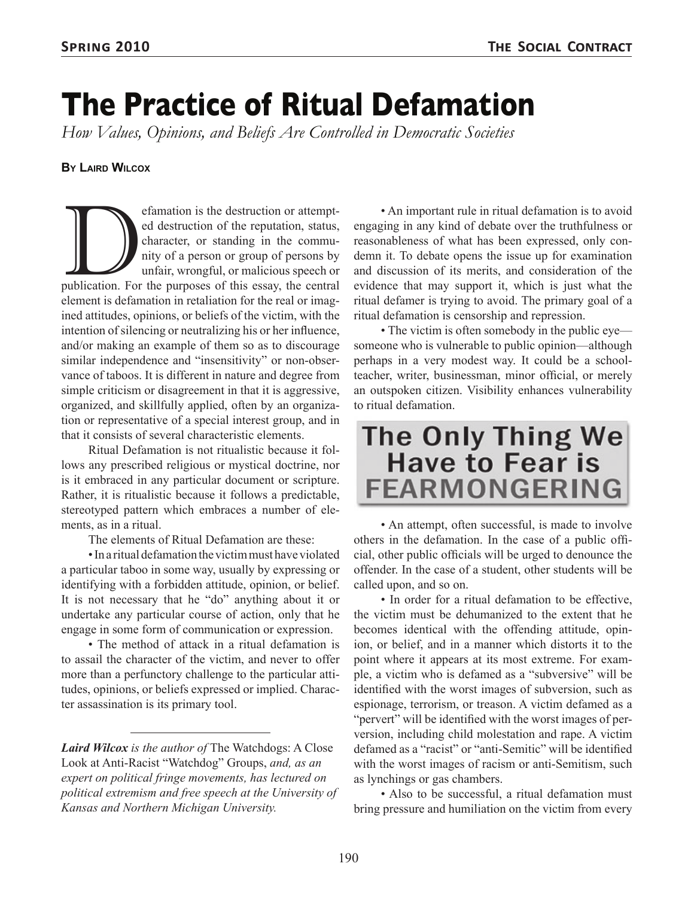# **The Practice of Ritual Defamation**

*How Values, Opinions, and Beliefs Are Controlled in Democratic Societies*

#### **By Laird Wilcox**

efamation is the destruction or attempt-<br>
ed destruction of the reputation, status,<br>
character, or standing in the commu-<br>
nity of a person or group of persons by<br>
unfair, wrongful, or malicious speech or<br>
publication. For ed destruction of the reputation, status, character, or standing in the community of a person or group of persons by unfair, wrongful, or malicious speech or element is defamation in retaliation for the real or imagined attitudes, opinions, or beliefs of the victim, with the intention of silencing or neutralizing his or her influence, and/or making an example of them so as to discourage similar independence and "insensitivity" or non-observance of taboos. It is different in nature and degree from simple criticism or disagreement in that it is aggressive, organized, and skillfully applied, often by an organization or representative of a special interest group, and in that it consists of several characteristic elements.

Ritual Defamation is not ritualistic because it follows any prescribed religious or mystical doctrine, nor is it embraced in any particular document or scripture. Rather, it is ritualistic because it follows a predictable, stereotyped pattern which embraces a number of elements, as in a ritual.

The elements of Ritual Defamation are these:

• In a ritual defamation the victim must have violated a particular taboo in some way, usually by expressing or identifying with a forbidden attitude, opinion, or belief. It is not necessary that he "do" anything about it or undertake any particular course of action, only that he engage in some form of communication or expression.

• The method of attack in a ritual defamation is to assail the character of the victim, and never to offer more than a perfunctory challenge to the particular attitudes, opinions, or beliefs expressed or implied. Character assassination is its primary tool.

• An important rule in ritual defamation is to avoid engaging in any kind of debate over the truthfulness or reasonableness of what has been expressed, only condemn it. To debate opens the issue up for examination and discussion of its merits, and consideration of the evidence that may support it, which is just what the ritual defamer is trying to avoid. The primary goal of a ritual defamation is censorship and repression.

• The victim is often somebody in the public eye someone who is vulnerable to public opinion—although perhaps in a very modest way. It could be a schoolteacher, writer, businessman, minor official, or merely an outspoken citizen. Visibility enhances vulnerability to ritual defamation.

## **The Only Thing We Have to Fear is FEARMONGERING**

• An attempt, often successful, is made to involve others in the defamation. In the case of a public official, other public officials will be urged to denounce the offender. In the case of a student, other students will be called upon, and so on.

• In order for a ritual defamation to be effective, the victim must be dehumanized to the extent that he becomes identical with the offending attitude, opinion, or belief, and in a manner which distorts it to the point where it appears at its most extreme. For example, a victim who is defamed as a "subversive" will be identified with the worst images of subversion, such as espionage, terrorism, or treason. A victim defamed as a "pervert" will be identified with the worst images of perversion, including child molestation and rape. A victim defamed as a "racist" or "anti-Semitic" will be identified with the worst images of racism or anti-Semitism, such as lynchings or gas chambers.

• Also to be successful, a ritual defamation must bring pressure and humiliation on the victim from every

*Laird Wilcox is the author of* The Watchdogs: A Close Look at Anti-Racist "Watchdog" Groups, *and, as an expert on political fringe movements, has lectured on political extremism and free speech at the University of Kansas and Northern Michigan University.*